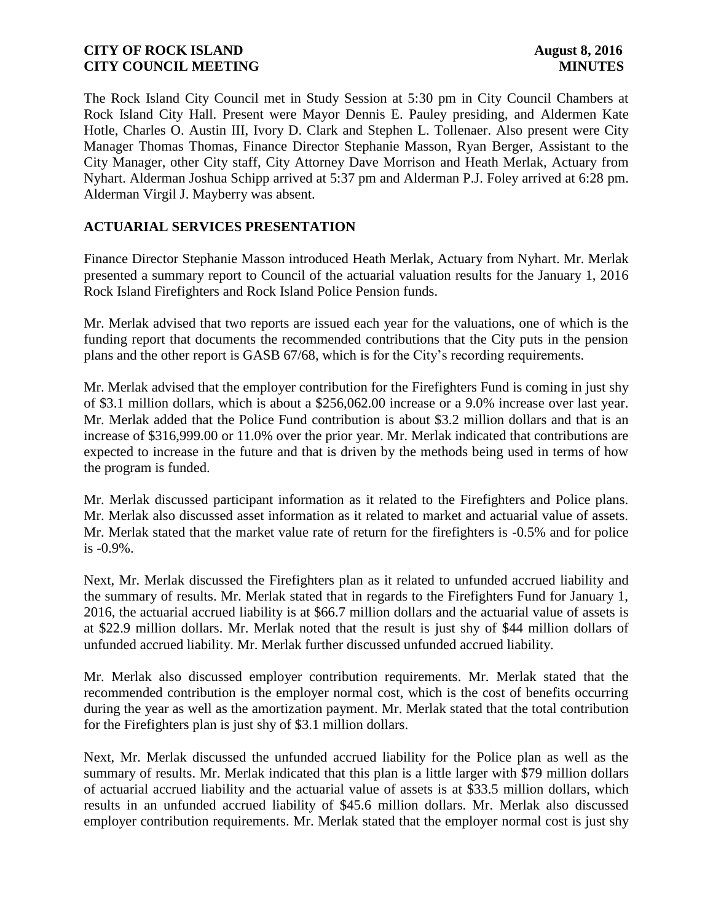The Rock Island City Council met in Study Session at 5:30 pm in City Council Chambers at Rock Island City Hall. Present were Mayor Dennis E. Pauley presiding, and Aldermen Kate Hotle, Charles O. Austin III, Ivory D. Clark and Stephen L. Tollenaer. Also present were City Manager Thomas Thomas, Finance Director Stephanie Masson, Ryan Berger, Assistant to the City Manager, other City staff, City Attorney Dave Morrison and Heath Merlak, Actuary from Nyhart. Alderman Joshua Schipp arrived at 5:37 pm and Alderman P.J. Foley arrived at 6:28 pm. Alderman Virgil J. Mayberry was absent.

# **ACTUARIAL SERVICES PRESENTATION**

Finance Director Stephanie Masson introduced Heath Merlak, Actuary from Nyhart. Mr. Merlak presented a summary report to Council of the actuarial valuation results for the January 1, 2016 Rock Island Firefighters and Rock Island Police Pension funds.

Mr. Merlak advised that two reports are issued each year for the valuations, one of which is the funding report that documents the recommended contributions that the City puts in the pension plans and the other report is GASB 67/68, which is for the City's recording requirements.

Mr. Merlak advised that the employer contribution for the Firefighters Fund is coming in just shy of \$3.1 million dollars, which is about a \$256,062.00 increase or a 9.0% increase over last year. Mr. Merlak added that the Police Fund contribution is about \$3.2 million dollars and that is an increase of \$316,999.00 or 11.0% over the prior year. Mr. Merlak indicated that contributions are expected to increase in the future and that is driven by the methods being used in terms of how the program is funded.

Mr. Merlak discussed participant information as it related to the Firefighters and Police plans. Mr. Merlak also discussed asset information as it related to market and actuarial value of assets. Mr. Merlak stated that the market value rate of return for the firefighters is -0.5% and for police is -0.9%.

Next, Mr. Merlak discussed the Firefighters plan as it related to unfunded accrued liability and the summary of results. Mr. Merlak stated that in regards to the Firefighters Fund for January 1, 2016, the actuarial accrued liability is at \$66.7 million dollars and the actuarial value of assets is at \$22.9 million dollars. Mr. Merlak noted that the result is just shy of \$44 million dollars of unfunded accrued liability. Mr. Merlak further discussed unfunded accrued liability.

Mr. Merlak also discussed employer contribution requirements. Mr. Merlak stated that the recommended contribution is the employer normal cost, which is the cost of benefits occurring during the year as well as the amortization payment. Mr. Merlak stated that the total contribution for the Firefighters plan is just shy of \$3.1 million dollars.

Next, Mr. Merlak discussed the unfunded accrued liability for the Police plan as well as the summary of results. Mr. Merlak indicated that this plan is a little larger with \$79 million dollars of actuarial accrued liability and the actuarial value of assets is at \$33.5 million dollars, which results in an unfunded accrued liability of \$45.6 million dollars. Mr. Merlak also discussed employer contribution requirements. Mr. Merlak stated that the employer normal cost is just shy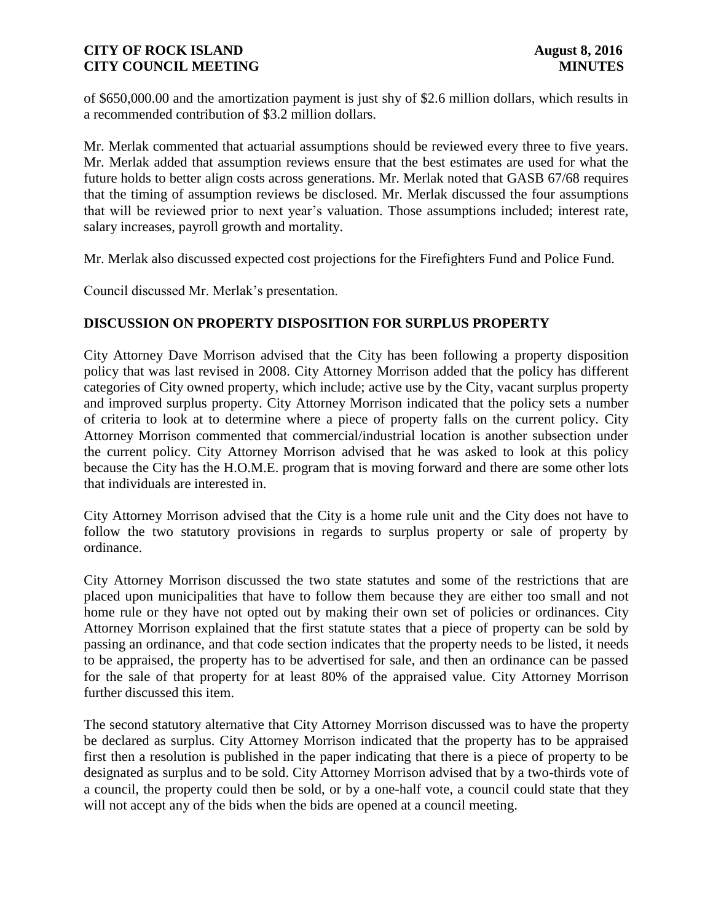of \$650,000.00 and the amortization payment is just shy of \$2.6 million dollars, which results in a recommended contribution of \$3.2 million dollars.

Mr. Merlak commented that actuarial assumptions should be reviewed every three to five years. Mr. Merlak added that assumption reviews ensure that the best estimates are used for what the future holds to better align costs across generations. Mr. Merlak noted that GASB 67/68 requires that the timing of assumption reviews be disclosed. Mr. Merlak discussed the four assumptions that will be reviewed prior to next year's valuation. Those assumptions included; interest rate, salary increases, payroll growth and mortality.

Mr. Merlak also discussed expected cost projections for the Firefighters Fund and Police Fund.

Council discussed Mr. Merlak's presentation.

# **DISCUSSION ON PROPERTY DISPOSITION FOR SURPLUS PROPERTY**

City Attorney Dave Morrison advised that the City has been following a property disposition policy that was last revised in 2008. City Attorney Morrison added that the policy has different categories of City owned property, which include; active use by the City, vacant surplus property and improved surplus property. City Attorney Morrison indicated that the policy sets a number of criteria to look at to determine where a piece of property falls on the current policy. City Attorney Morrison commented that commercial/industrial location is another subsection under the current policy. City Attorney Morrison advised that he was asked to look at this policy because the City has the H.O.M.E. program that is moving forward and there are some other lots that individuals are interested in.

City Attorney Morrison advised that the City is a home rule unit and the City does not have to follow the two statutory provisions in regards to surplus property or sale of property by ordinance.

City Attorney Morrison discussed the two state statutes and some of the restrictions that are placed upon municipalities that have to follow them because they are either too small and not home rule or they have not opted out by making their own set of policies or ordinances. City Attorney Morrison explained that the first statute states that a piece of property can be sold by passing an ordinance, and that code section indicates that the property needs to be listed, it needs to be appraised, the property has to be advertised for sale, and then an ordinance can be passed for the sale of that property for at least 80% of the appraised value. City Attorney Morrison further discussed this item.

The second statutory alternative that City Attorney Morrison discussed was to have the property be declared as surplus. City Attorney Morrison indicated that the property has to be appraised first then a resolution is published in the paper indicating that there is a piece of property to be designated as surplus and to be sold. City Attorney Morrison advised that by a two-thirds vote of a council, the property could then be sold, or by a one-half vote, a council could state that they will not accept any of the bids when the bids are opened at a council meeting.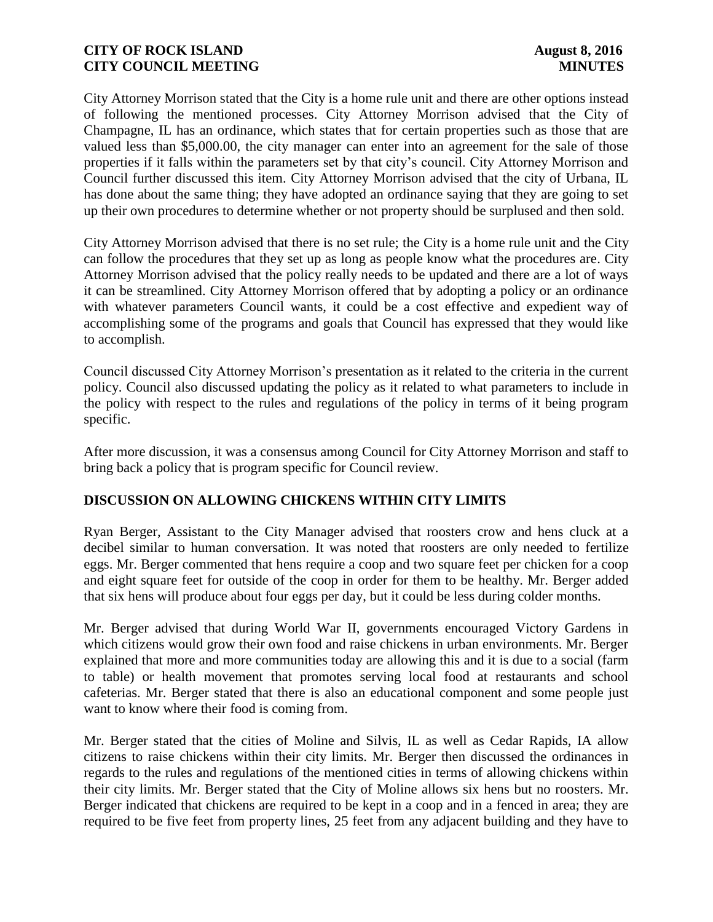City Attorney Morrison stated that the City is a home rule unit and there are other options instead of following the mentioned processes. City Attorney Morrison advised that the City of Champagne, IL has an ordinance, which states that for certain properties such as those that are valued less than \$5,000.00, the city manager can enter into an agreement for the sale of those properties if it falls within the parameters set by that city's council. City Attorney Morrison and Council further discussed this item. City Attorney Morrison advised that the city of Urbana, IL has done about the same thing; they have adopted an ordinance saying that they are going to set up their own procedures to determine whether or not property should be surplused and then sold.

City Attorney Morrison advised that there is no set rule; the City is a home rule unit and the City can follow the procedures that they set up as long as people know what the procedures are. City Attorney Morrison advised that the policy really needs to be updated and there are a lot of ways it can be streamlined. City Attorney Morrison offered that by adopting a policy or an ordinance with whatever parameters Council wants, it could be a cost effective and expedient way of accomplishing some of the programs and goals that Council has expressed that they would like to accomplish.

Council discussed City Attorney Morrison's presentation as it related to the criteria in the current policy. Council also discussed updating the policy as it related to what parameters to include in the policy with respect to the rules and regulations of the policy in terms of it being program specific.

After more discussion, it was a consensus among Council for City Attorney Morrison and staff to bring back a policy that is program specific for Council review.

# **DISCUSSION ON ALLOWING CHICKENS WITHIN CITY LIMITS**

Ryan Berger, Assistant to the City Manager advised that roosters crow and hens cluck at a decibel similar to human conversation. It was noted that roosters are only needed to fertilize eggs. Mr. Berger commented that hens require a coop and two square feet per chicken for a coop and eight square feet for outside of the coop in order for them to be healthy. Mr. Berger added that six hens will produce about four eggs per day, but it could be less during colder months.

Mr. Berger advised that during World War II, governments encouraged Victory Gardens in which citizens would grow their own food and raise chickens in urban environments. Mr. Berger explained that more and more communities today are allowing this and it is due to a social (farm to table) or health movement that promotes serving local food at restaurants and school cafeterias. Mr. Berger stated that there is also an educational component and some people just want to know where their food is coming from.

Mr. Berger stated that the cities of Moline and Silvis, IL as well as Cedar Rapids, IA allow citizens to raise chickens within their city limits. Mr. Berger then discussed the ordinances in regards to the rules and regulations of the mentioned cities in terms of allowing chickens within their city limits. Mr. Berger stated that the City of Moline allows six hens but no roosters. Mr. Berger indicated that chickens are required to be kept in a coop and in a fenced in area; they are required to be five feet from property lines, 25 feet from any adjacent building and they have to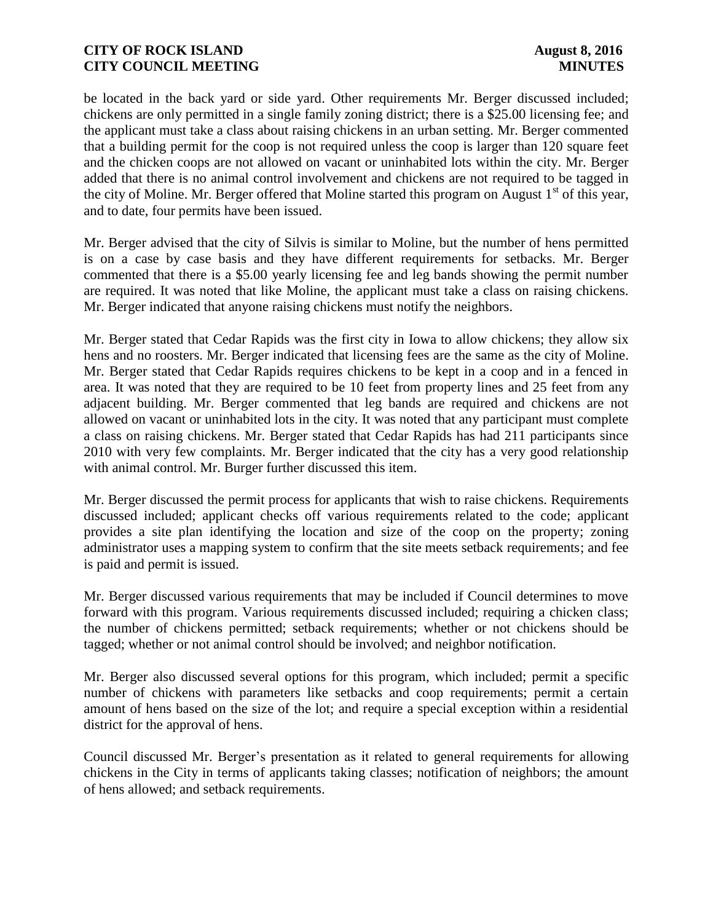be located in the back yard or side yard. Other requirements Mr. Berger discussed included; chickens are only permitted in a single family zoning district; there is a \$25.00 licensing fee; and the applicant must take a class about raising chickens in an urban setting. Mr. Berger commented that a building permit for the coop is not required unless the coop is larger than 120 square feet and the chicken coops are not allowed on vacant or uninhabited lots within the city. Mr. Berger added that there is no animal control involvement and chickens are not required to be tagged in the city of Moline. Mr. Berger offered that Moline started this program on August  $1<sup>st</sup>$  of this year, and to date, four permits have been issued.

Mr. Berger advised that the city of Silvis is similar to Moline, but the number of hens permitted is on a case by case basis and they have different requirements for setbacks. Mr. Berger commented that there is a \$5.00 yearly licensing fee and leg bands showing the permit number are required. It was noted that like Moline, the applicant must take a class on raising chickens. Mr. Berger indicated that anyone raising chickens must notify the neighbors.

Mr. Berger stated that Cedar Rapids was the first city in Iowa to allow chickens; they allow six hens and no roosters. Mr. Berger indicated that licensing fees are the same as the city of Moline. Mr. Berger stated that Cedar Rapids requires chickens to be kept in a coop and in a fenced in area. It was noted that they are required to be 10 feet from property lines and 25 feet from any adjacent building. Mr. Berger commented that leg bands are required and chickens are not allowed on vacant or uninhabited lots in the city. It was noted that any participant must complete a class on raising chickens. Mr. Berger stated that Cedar Rapids has had 211 participants since 2010 with very few complaints. Mr. Berger indicated that the city has a very good relationship with animal control. Mr. Burger further discussed this item.

Mr. Berger discussed the permit process for applicants that wish to raise chickens. Requirements discussed included; applicant checks off various requirements related to the code; applicant provides a site plan identifying the location and size of the coop on the property; zoning administrator uses a mapping system to confirm that the site meets setback requirements; and fee is paid and permit is issued.

Mr. Berger discussed various requirements that may be included if Council determines to move forward with this program. Various requirements discussed included; requiring a chicken class; the number of chickens permitted; setback requirements; whether or not chickens should be tagged; whether or not animal control should be involved; and neighbor notification.

Mr. Berger also discussed several options for this program, which included; permit a specific number of chickens with parameters like setbacks and coop requirements; permit a certain amount of hens based on the size of the lot; and require a special exception within a residential district for the approval of hens.

Council discussed Mr. Berger's presentation as it related to general requirements for allowing chickens in the City in terms of applicants taking classes; notification of neighbors; the amount of hens allowed; and setback requirements.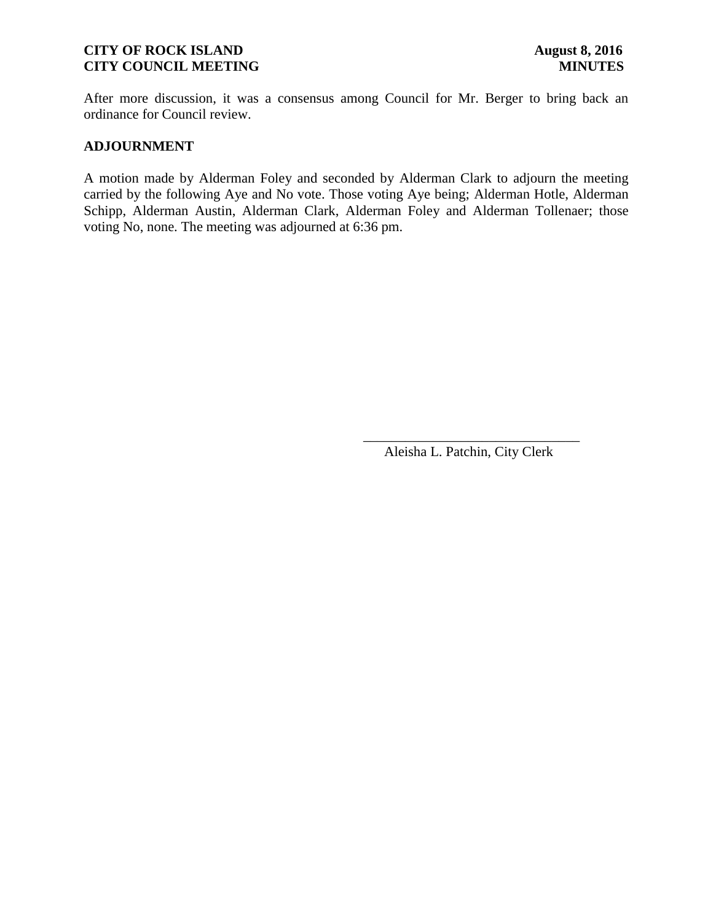After more discussion, it was a consensus among Council for Mr. Berger to bring back an ordinance for Council review.

#### **ADJOURNMENT**

A motion made by Alderman Foley and seconded by Alderman Clark to adjourn the meeting carried by the following Aye and No vote. Those voting Aye being; Alderman Hotle, Alderman Schipp, Alderman Austin, Alderman Clark, Alderman Foley and Alderman Tollenaer; those voting No, none. The meeting was adjourned at 6:36 pm.

 $\overline{\phantom{a}}$  , and the contract of the contract of the contract of the contract of the contract of the contract of the contract of the contract of the contract of the contract of the contract of the contract of the contrac

Aleisha L. Patchin, City Clerk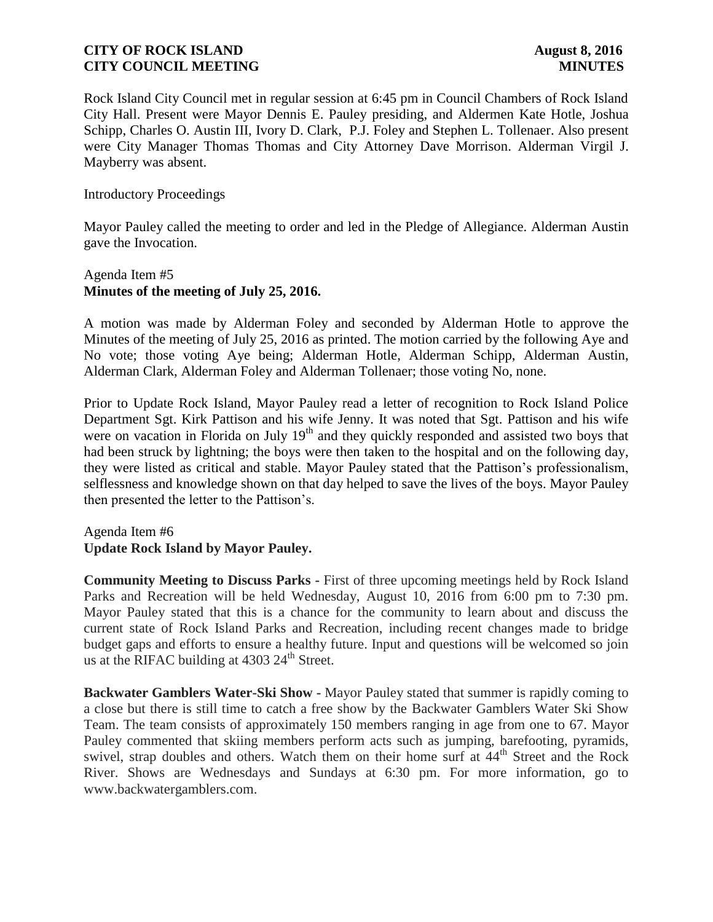Rock Island City Council met in regular session at 6:45 pm in Council Chambers of Rock Island City Hall. Present were Mayor Dennis E. Pauley presiding, and Aldermen Kate Hotle, Joshua Schipp, Charles O. Austin III, Ivory D. Clark, P.J. Foley and Stephen L. Tollenaer. Also present were City Manager Thomas Thomas and City Attorney Dave Morrison. Alderman Virgil J. Mayberry was absent.

#### Introductory Proceedings

Mayor Pauley called the meeting to order and led in the Pledge of Allegiance. Alderman Austin gave the Invocation.

# Agenda Item #5 **Minutes of the meeting of July 25, 2016.**

A motion was made by Alderman Foley and seconded by Alderman Hotle to approve the Minutes of the meeting of July 25, 2016 as printed. The motion carried by the following Aye and No vote; those voting Aye being; Alderman Hotle, Alderman Schipp, Alderman Austin, Alderman Clark, Alderman Foley and Alderman Tollenaer; those voting No, none.

Prior to Update Rock Island, Mayor Pauley read a letter of recognition to Rock Island Police Department Sgt. Kirk Pattison and his wife Jenny. It was noted that Sgt. Pattison and his wife were on vacation in Florida on July  $19<sup>th</sup>$  and they quickly responded and assisted two boys that had been struck by lightning; the boys were then taken to the hospital and on the following day, they were listed as critical and stable. Mayor Pauley stated that the Pattison's professionalism, selflessness and knowledge shown on that day helped to save the lives of the boys. Mayor Pauley then presented the letter to the Pattison's.

### Agenda Item #6 **Update Rock Island by Mayor Pauley.**

**Community Meeting to Discuss Parks -** First of three upcoming meetings held by Rock Island Parks and Recreation will be held Wednesday, August 10, 2016 from 6:00 pm to 7:30 pm. Mayor Pauley stated that this is a chance for the community to learn about and discuss the current state of Rock Island Parks and Recreation, including recent changes made to bridge budget gaps and efforts to ensure a healthy future. Input and questions will be welcomed so join us at the RIFAC building at  $4303 \, 24^{\text{th}}$  Street.

**Backwater Gamblers Water-Ski Show -** Mayor Pauley stated that summer is rapidly coming to a close but there is still time to catch a free show by the Backwater Gamblers Water Ski Show Team. The team consists of approximately 150 members ranging in age from one to 67. Mayor Pauley commented that skiing members perform acts such as jumping, barefooting, pyramids, swivel, strap doubles and others. Watch them on their home surf at 44<sup>th</sup> Street and the Rock River. Shows are Wednesdays and Sundays at 6:30 pm. For more information, go to www.backwatergamblers.com.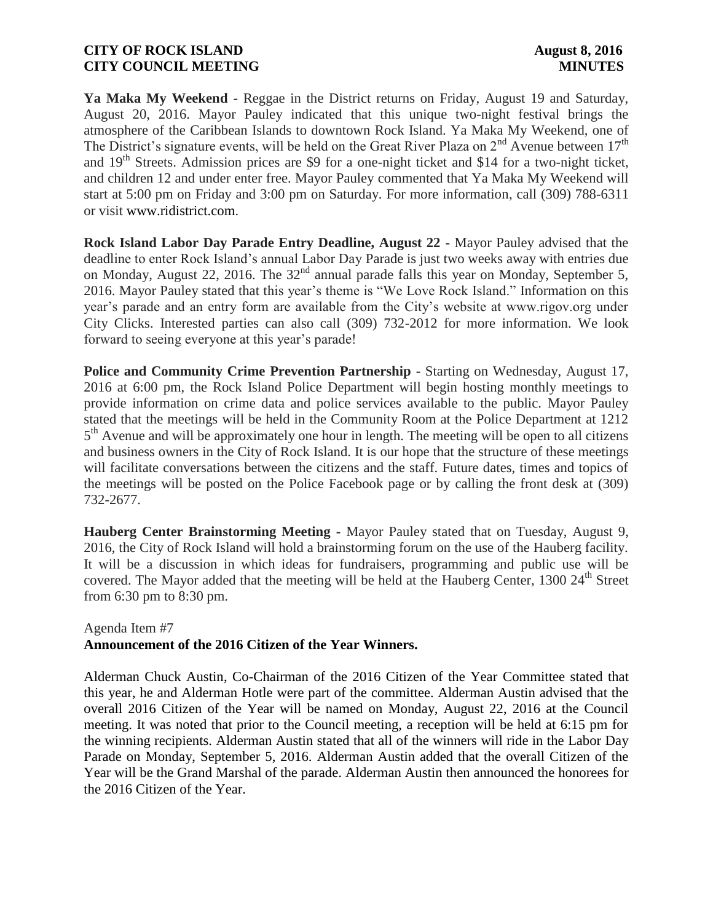**Ya Maka My Weekend -** Reggae in the District returns on Friday, August 19 and Saturday, August 20, 2016. Mayor Pauley indicated that this unique two-night festival brings the atmosphere of the Caribbean Islands to downtown Rock Island. Ya Maka My Weekend, one of The District's signature events, will be held on the Great River Plaza on  $2<sup>nd</sup>$  Avenue between  $17<sup>th</sup>$ and 19<sup>th</sup> Streets. Admission prices are \$9 for a one-night ticket and \$14 for a two-night ticket, and children 12 and under enter free. Mayor Pauley commented that Ya Maka My Weekend will start at 5:00 pm on Friday and 3:00 pm on Saturday. For more information, call (309) 788-6311 or visit www.ridistrict.com.

**Rock Island Labor Day Parade Entry Deadline, August 22 -** Mayor Pauley advised that the deadline to enter Rock Island's annual Labor Day Parade is just two weeks away with entries due on Monday, August 22, 2016. The 32<sup>nd</sup> annual parade falls this year on Monday, September 5, 2016. Mayor Pauley stated that this year's theme is "We Love Rock Island." Information on this year's parade and an entry form are available from the City's website at www.rigov.org under City Clicks. Interested parties can also call (309) 732-2012 for more information. We look forward to seeing everyone at this year's parade!

**Police and Community Crime Prevention Partnership -** Starting on Wednesday, August 17, 2016 at 6:00 pm, the Rock Island Police Department will begin hosting monthly meetings to provide information on crime data and police services available to the public. Mayor Pauley stated that the meetings will be held in the Community Room at the Police Department at 1212 5<sup>th</sup> Avenue and will be approximately one hour in length. The meeting will be open to all citizens and business owners in the City of Rock Island. It is our hope that the structure of these meetings will facilitate conversations between the citizens and the staff. Future dates, times and topics of the meetings will be posted on the Police Facebook page or by calling the front desk at (309) 732-2677.

**Hauberg Center Brainstorming Meeting -** Mayor Pauley stated that on Tuesday, August 9, 2016, the City of Rock Island will hold a brainstorming forum on the use of the Hauberg facility. It will be a discussion in which ideas for fundraisers, programming and public use will be covered. The Mayor added that the meeting will be held at the Hauberg Center, 1300 24<sup>th</sup> Street from 6:30 pm to 8:30 pm.

#### Agenda Item #7

### **Announcement of the 2016 Citizen of the Year Winners.**

Alderman Chuck Austin, Co-Chairman of the 2016 Citizen of the Year Committee stated that this year, he and Alderman Hotle were part of the committee. Alderman Austin advised that the overall 2016 Citizen of the Year will be named on Monday, August 22, 2016 at the Council meeting. It was noted that prior to the Council meeting, a reception will be held at 6:15 pm for the winning recipients. Alderman Austin stated that all of the winners will ride in the Labor Day Parade on Monday, September 5, 2016. Alderman Austin added that the overall Citizen of the Year will be the Grand Marshal of the parade. Alderman Austin then announced the honorees for the 2016 Citizen of the Year.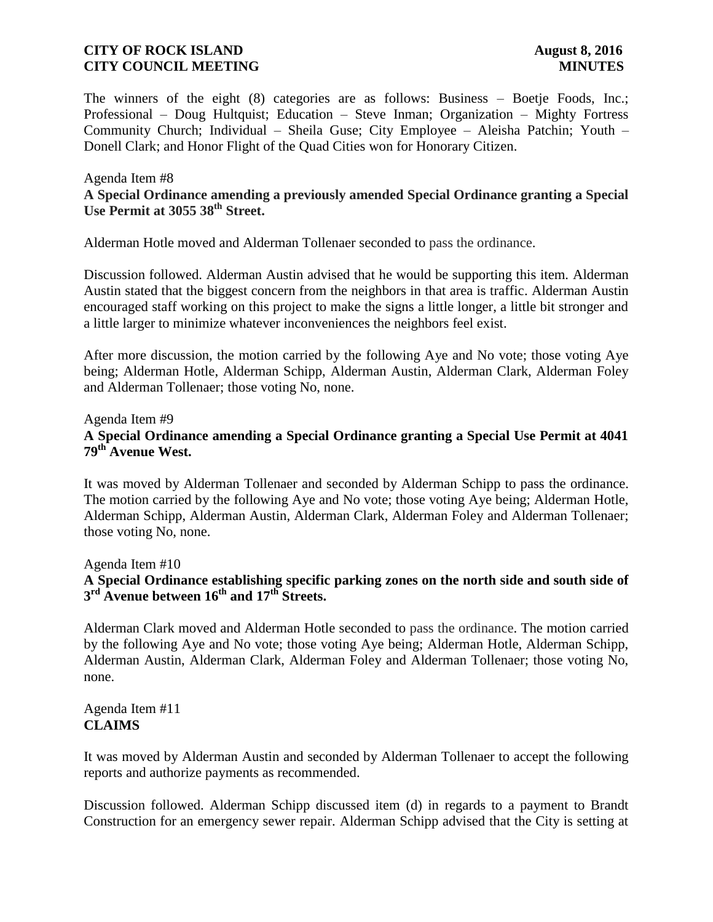The winners of the eight (8) categories are as follows: Business – Boetje Foods, Inc.; Professional – Doug Hultquist; Education – Steve Inman; Organization – Mighty Fortress Community Church; Individual – Sheila Guse; City Employee – Aleisha Patchin; Youth – Donell Clark; and Honor Flight of the Quad Cities won for Honorary Citizen.

### Agenda Item #8 **A Special Ordinance amending a previously amended Special Ordinance granting a Special Use Permit at 3055 38th Street.**

Alderman Hotle moved and Alderman Tollenaer seconded to pass the ordinance.

Discussion followed. Alderman Austin advised that he would be supporting this item. Alderman Austin stated that the biggest concern from the neighbors in that area is traffic. Alderman Austin encouraged staff working on this project to make the signs a little longer, a little bit stronger and a little larger to minimize whatever inconveniences the neighbors feel exist.

After more discussion, the motion carried by the following Aye and No vote; those voting Aye being; Alderman Hotle, Alderman Schipp, Alderman Austin, Alderman Clark, Alderman Foley and Alderman Tollenaer; those voting No, none.

# Agenda Item #9 **A Special Ordinance amending a Special Ordinance granting a Special Use Permit at 4041 79th Avenue West.**

It was moved by Alderman Tollenaer and seconded by Alderman Schipp to pass the ordinance. The motion carried by the following Aye and No vote; those voting Aye being; Alderman Hotle, Alderman Schipp, Alderman Austin, Alderman Clark, Alderman Foley and Alderman Tollenaer; those voting No, none.

Agenda Item #10

# **A Special Ordinance establishing specific parking zones on the north side and south side of 3 rd Avenue between 16th and 17th Streets.**

Alderman Clark moved and Alderman Hotle seconded to pass the ordinance. The motion carried by the following Aye and No vote; those voting Aye being; Alderman Hotle, Alderman Schipp, Alderman Austin, Alderman Clark, Alderman Foley and Alderman Tollenaer; those voting No, none.

Agenda Item #11 **CLAIMS**

It was moved by Alderman Austin and seconded by Alderman Tollenaer to accept the following reports and authorize payments as recommended.

Discussion followed. Alderman Schipp discussed item (d) in regards to a payment to Brandt Construction for an emergency sewer repair. Alderman Schipp advised that the City is setting at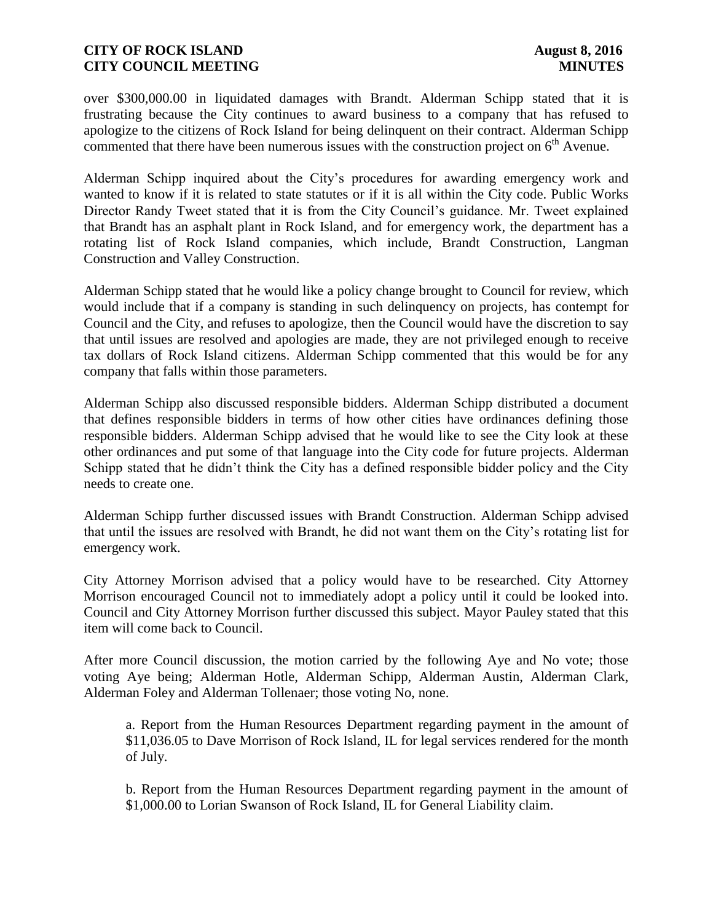over \$300,000.00 in liquidated damages with Brandt. Alderman Schipp stated that it is frustrating because the City continues to award business to a company that has refused to apologize to the citizens of Rock Island for being delinquent on their contract. Alderman Schipp commented that there have been numerous issues with the construction project on  $6<sup>th</sup>$  Avenue.

Alderman Schipp inquired about the City's procedures for awarding emergency work and wanted to know if it is related to state statutes or if it is all within the City code. Public Works Director Randy Tweet stated that it is from the City Council's guidance. Mr. Tweet explained that Brandt has an asphalt plant in Rock Island, and for emergency work, the department has a rotating list of Rock Island companies, which include, Brandt Construction, Langman Construction and Valley Construction.

Alderman Schipp stated that he would like a policy change brought to Council for review, which would include that if a company is standing in such delinquency on projects, has contempt for Council and the City, and refuses to apologize, then the Council would have the discretion to say that until issues are resolved and apologies are made, they are not privileged enough to receive tax dollars of Rock Island citizens. Alderman Schipp commented that this would be for any company that falls within those parameters.

Alderman Schipp also discussed responsible bidders. Alderman Schipp distributed a document that defines responsible bidders in terms of how other cities have ordinances defining those responsible bidders. Alderman Schipp advised that he would like to see the City look at these other ordinances and put some of that language into the City code for future projects. Alderman Schipp stated that he didn't think the City has a defined responsible bidder policy and the City needs to create one.

Alderman Schipp further discussed issues with Brandt Construction. Alderman Schipp advised that until the issues are resolved with Brandt, he did not want them on the City's rotating list for emergency work.

City Attorney Morrison advised that a policy would have to be researched. City Attorney Morrison encouraged Council not to immediately adopt a policy until it could be looked into. Council and City Attorney Morrison further discussed this subject. Mayor Pauley stated that this item will come back to Council.

After more Council discussion, the motion carried by the following Aye and No vote; those voting Aye being; Alderman Hotle, Alderman Schipp, Alderman Austin, Alderman Clark, Alderman Foley and Alderman Tollenaer; those voting No, none.

a. Report from the Human Resources Department regarding payment in the amount of \$11,036.05 to Dave Morrison of Rock Island, IL for legal services rendered for the month of July.

b. Report from the Human Resources Department regarding payment in the amount of \$1,000.00 to Lorian Swanson of Rock Island, IL for General Liability claim.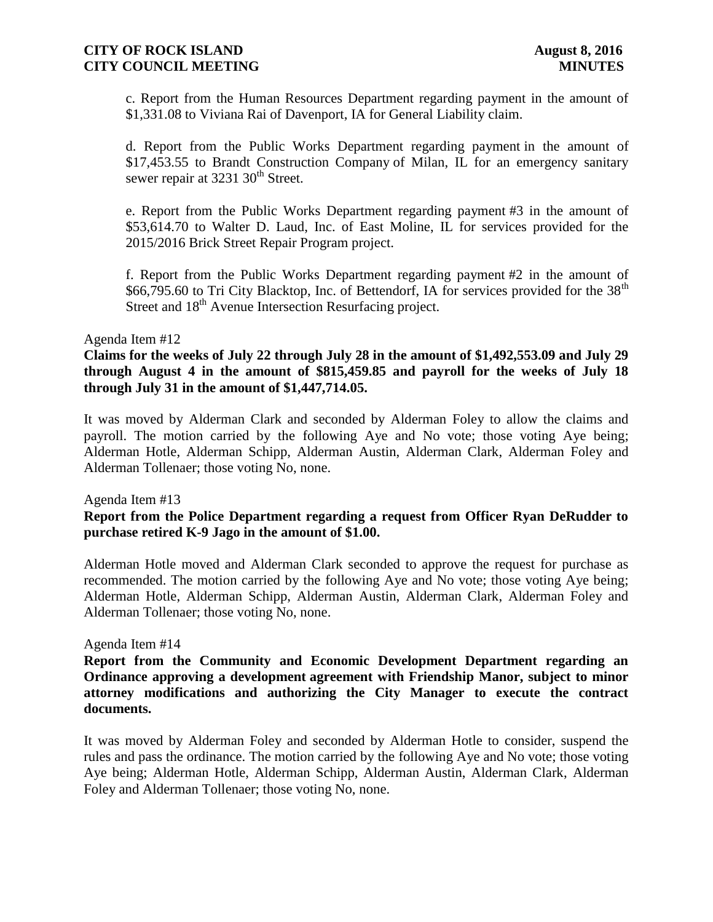c. Report from the Human Resources Department regarding payment in the amount of \$1,331.08 to Viviana Rai of Davenport, IA for General Liability claim.

d. Report from the Public Works Department regarding payment in the amount of \$17,453.55 to Brandt Construction Company of Milan, IL for an emergency sanitary sewer repair at 3231 30<sup>th</sup> Street.

e. Report from the Public Works Department regarding payment #3 in the amount of \$53,614.70 to Walter D. Laud, Inc. of East Moline, IL for services provided for the 2015/2016 Brick Street Repair Program project.

f. Report from the Public Works Department regarding payment #2 in the amount of \$66,795.60 to Tri City Blacktop, Inc. of Bettendorf, IA for services provided for the  $38<sup>th</sup>$ Street and 18<sup>th</sup> Avenue Intersection Resurfacing project.

#### Agenda Item #12

**Claims for the weeks of July 22 through July 28 in the amount of \$1,492,553.09 and July 29 through August 4 in the amount of \$815,459.85 and payroll for the weeks of July 18 through July 31 in the amount of \$1,447,714.05.**

It was moved by Alderman Clark and seconded by Alderman Foley to allow the claims and payroll. The motion carried by the following Aye and No vote; those voting Aye being; Alderman Hotle, Alderman Schipp, Alderman Austin, Alderman Clark, Alderman Foley and Alderman Tollenaer; those voting No, none.

Agenda Item #13

# **Report from the Police Department regarding a request from Officer Ryan DeRudder to purchase retired K-9 Jago in the amount of \$1.00.**

Alderman Hotle moved and Alderman Clark seconded to approve the request for purchase as recommended. The motion carried by the following Aye and No vote; those voting Aye being; Alderman Hotle, Alderman Schipp, Alderman Austin, Alderman Clark, Alderman Foley and Alderman Tollenaer; those voting No, none.

#### Agenda Item #14

**Report from the Community and Economic Development Department regarding an Ordinance approving a development agreement with Friendship Manor, subject to minor attorney modifications and authorizing the City Manager to execute the contract documents.** 

It was moved by Alderman Foley and seconded by Alderman Hotle to consider, suspend the rules and pass the ordinance. The motion carried by the following Aye and No vote; those voting Aye being; Alderman Hotle, Alderman Schipp, Alderman Austin, Alderman Clark, Alderman Foley and Alderman Tollenaer; those voting No, none.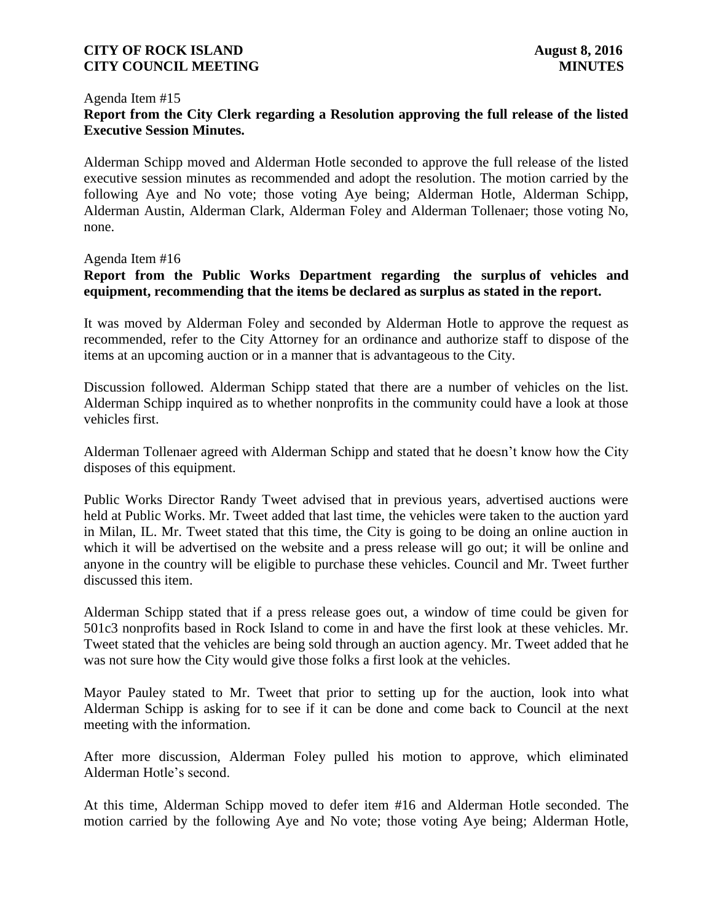#### Agenda Item #15 **Report from the City Clerk regarding a Resolution approving the full release of the listed Executive Session Minutes.**

Alderman Schipp moved and Alderman Hotle seconded to approve the full release of the listed executive session minutes as recommended and adopt the resolution. The motion carried by the following Aye and No vote; those voting Aye being; Alderman Hotle, Alderman Schipp, Alderman Austin, Alderman Clark, Alderman Foley and Alderman Tollenaer; those voting No, none.

Agenda Item #16

# **Report from the Public Works Department regarding the surplus of vehicles and equipment, recommending that the items be declared as surplus as stated in the report.**

It was moved by Alderman Foley and seconded by Alderman Hotle to approve the request as recommended, refer to the City Attorney for an ordinance and authorize staff to dispose of the items at an upcoming auction or in a manner that is advantageous to the City.

Discussion followed. Alderman Schipp stated that there are a number of vehicles on the list. Alderman Schipp inquired as to whether nonprofits in the community could have a look at those vehicles first.

Alderman Tollenaer agreed with Alderman Schipp and stated that he doesn't know how the City disposes of this equipment.

Public Works Director Randy Tweet advised that in previous years, advertised auctions were held at Public Works. Mr. Tweet added that last time, the vehicles were taken to the auction yard in Milan, IL. Mr. Tweet stated that this time, the City is going to be doing an online auction in which it will be advertised on the website and a press release will go out; it will be online and anyone in the country will be eligible to purchase these vehicles. Council and Mr. Tweet further discussed this item.

Alderman Schipp stated that if a press release goes out, a window of time could be given for 501c3 nonprofits based in Rock Island to come in and have the first look at these vehicles. Mr. Tweet stated that the vehicles are being sold through an auction agency. Mr. Tweet added that he was not sure how the City would give those folks a first look at the vehicles.

Mayor Pauley stated to Mr. Tweet that prior to setting up for the auction, look into what Alderman Schipp is asking for to see if it can be done and come back to Council at the next meeting with the information.

After more discussion, Alderman Foley pulled his motion to approve, which eliminated Alderman Hotle's second.

At this time, Alderman Schipp moved to defer item #16 and Alderman Hotle seconded. The motion carried by the following Aye and No vote; those voting Aye being; Alderman Hotle,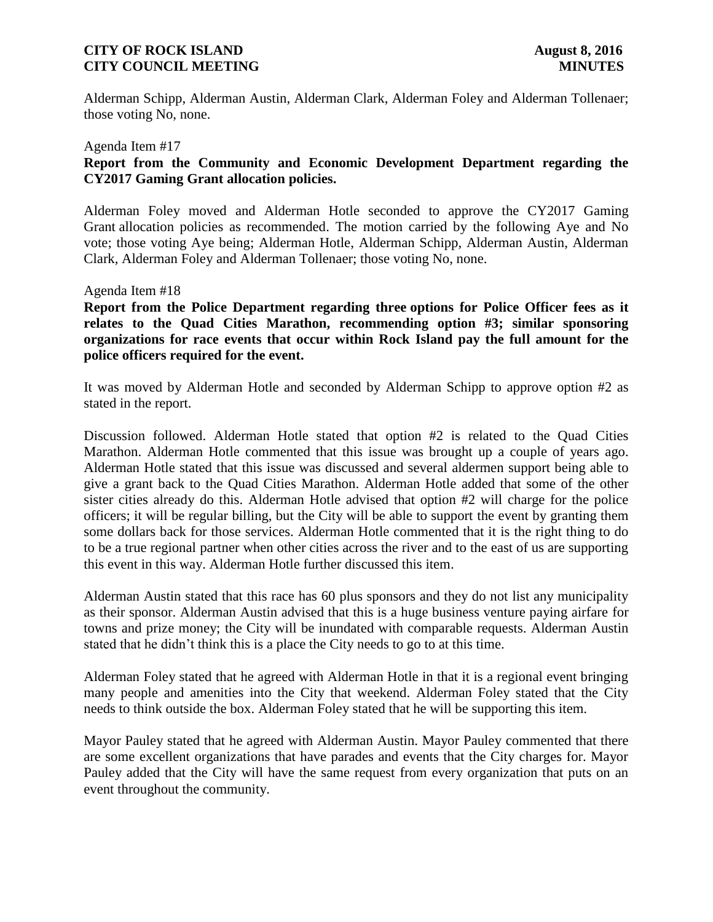Alderman Schipp, Alderman Austin, Alderman Clark, Alderman Foley and Alderman Tollenaer; those voting No, none.

#### Agenda Item #17

# **Report from the Community and Economic Development Department regarding the CY2017 Gaming Grant allocation policies.**

Alderman Foley moved and Alderman Hotle seconded to approve the CY2017 Gaming Grant allocation policies as recommended. The motion carried by the following Aye and No vote; those voting Aye being; Alderman Hotle, Alderman Schipp, Alderman Austin, Alderman Clark, Alderman Foley and Alderman Tollenaer; those voting No, none.

#### Agenda Item #18

**Report from the Police Department regarding three options for Police Officer fees as it relates to the Quad Cities Marathon, recommending option #3; similar sponsoring organizations for race events that occur within Rock Island pay the full amount for the police officers required for the event.**

It was moved by Alderman Hotle and seconded by Alderman Schipp to approve option #2 as stated in the report.

Discussion followed. Alderman Hotle stated that option #2 is related to the Quad Cities Marathon. Alderman Hotle commented that this issue was brought up a couple of years ago. Alderman Hotle stated that this issue was discussed and several aldermen support being able to give a grant back to the Quad Cities Marathon. Alderman Hotle added that some of the other sister cities already do this. Alderman Hotle advised that option #2 will charge for the police officers; it will be regular billing, but the City will be able to support the event by granting them some dollars back for those services. Alderman Hotle commented that it is the right thing to do to be a true regional partner when other cities across the river and to the east of us are supporting this event in this way. Alderman Hotle further discussed this item.

Alderman Austin stated that this race has 60 plus sponsors and they do not list any municipality as their sponsor. Alderman Austin advised that this is a huge business venture paying airfare for towns and prize money; the City will be inundated with comparable requests. Alderman Austin stated that he didn't think this is a place the City needs to go to at this time.

Alderman Foley stated that he agreed with Alderman Hotle in that it is a regional event bringing many people and amenities into the City that weekend. Alderman Foley stated that the City needs to think outside the box. Alderman Foley stated that he will be supporting this item.

Mayor Pauley stated that he agreed with Alderman Austin. Mayor Pauley commented that there are some excellent organizations that have parades and events that the City charges for. Mayor Pauley added that the City will have the same request from every organization that puts on an event throughout the community.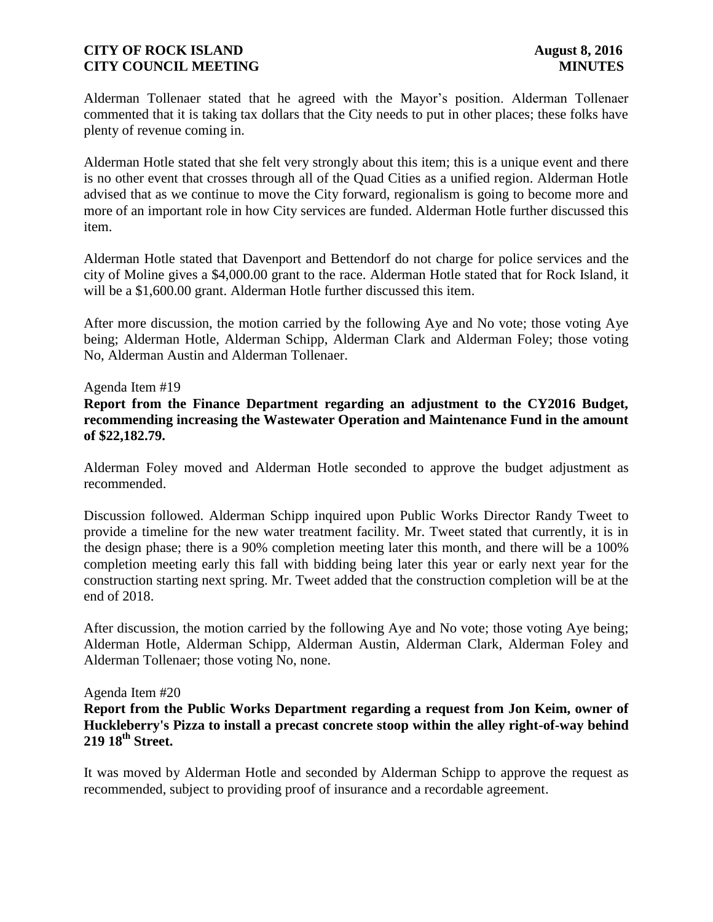Alderman Tollenaer stated that he agreed with the Mayor's position. Alderman Tollenaer commented that it is taking tax dollars that the City needs to put in other places; these folks have plenty of revenue coming in.

Alderman Hotle stated that she felt very strongly about this item; this is a unique event and there is no other event that crosses through all of the Quad Cities as a unified region. Alderman Hotle advised that as we continue to move the City forward, regionalism is going to become more and more of an important role in how City services are funded. Alderman Hotle further discussed this item.

Alderman Hotle stated that Davenport and Bettendorf do not charge for police services and the city of Moline gives a \$4,000.00 grant to the race. Alderman Hotle stated that for Rock Island, it will be a \$1,600.00 grant. Alderman Hotle further discussed this item.

After more discussion, the motion carried by the following Aye and No vote; those voting Aye being; Alderman Hotle, Alderman Schipp, Alderman Clark and Alderman Foley; those voting No, Alderman Austin and Alderman Tollenaer.

#### Agenda Item #19

### **Report from the Finance Department regarding an adjustment to the CY2016 Budget, recommending increasing the Wastewater Operation and Maintenance Fund in the amount of \$22,182.79.**

Alderman Foley moved and Alderman Hotle seconded to approve the budget adjustment as recommended.

Discussion followed. Alderman Schipp inquired upon Public Works Director Randy Tweet to provide a timeline for the new water treatment facility. Mr. Tweet stated that currently, it is in the design phase; there is a 90% completion meeting later this month, and there will be a 100% completion meeting early this fall with bidding being later this year or early next year for the construction starting next spring. Mr. Tweet added that the construction completion will be at the end of 2018.

After discussion, the motion carried by the following Aye and No vote; those voting Aye being; Alderman Hotle, Alderman Schipp, Alderman Austin, Alderman Clark, Alderman Foley and Alderman Tollenaer; those voting No, none.

#### Agenda Item #20

**Report from the Public Works Department regarding a request from Jon Keim, owner of Huckleberry's Pizza to install a precast concrete stoop within the alley right-of-way behind 219 18th Street.**

It was moved by Alderman Hotle and seconded by Alderman Schipp to approve the request as recommended, subject to providing proof of insurance and a recordable agreement.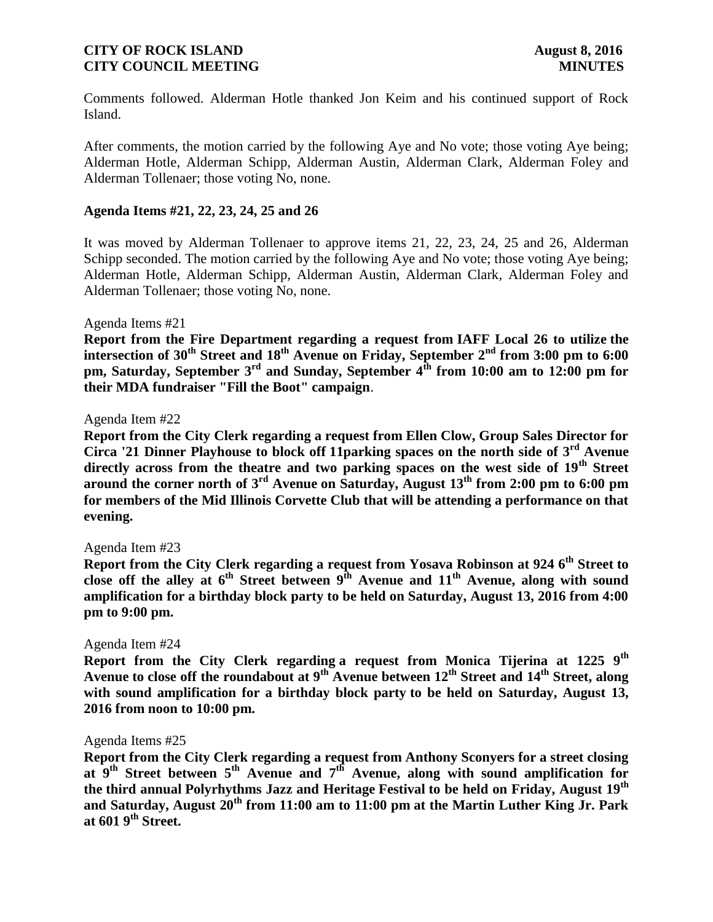Comments followed. Alderman Hotle thanked Jon Keim and his continued support of Rock Island.

After comments, the motion carried by the following Aye and No vote; those voting Aye being; Alderman Hotle, Alderman Schipp, Alderman Austin, Alderman Clark, Alderman Foley and Alderman Tollenaer; those voting No, none.

### **Agenda Items #21, 22, 23, 24, 25 and 26**

It was moved by Alderman Tollenaer to approve items 21, 22, 23, 24, 25 and 26, Alderman Schipp seconded. The motion carried by the following Aye and No vote; those voting Aye being; Alderman Hotle, Alderman Schipp, Alderman Austin, Alderman Clark, Alderman Foley and Alderman Tollenaer; those voting No, none.

### Agenda Items #21

**Report from the Fire Department regarding a request from IAFF Local 26 to utilize the intersection of 30th Street and 18th Avenue on Friday, September 2nd from 3:00 pm to 6:00 pm, Saturday, September 3rd and Sunday, September 4th from 10:00 am to 12:00 pm for their MDA fundraiser "Fill the Boot" campaign**.

### Agenda Item #22

**Report from the City Clerk regarding a request from Ellen Clow, Group Sales Director for Circa '21 Dinner Playhouse to block off 11parking spaces on the north side of 3rd Avenue directly across from the theatre and two parking spaces on the west side of 19th Street around the corner north of 3rd Avenue on Saturday, August 13th from 2:00 pm to 6:00 pm for members of the Mid Illinois Corvette Club that will be attending a performance on that evening.**

### Agenda Item #23

**Report from the City Clerk regarding a request from Yosava Robinson at 924 6th Street to close off the alley at 6th Street between 9th Avenue and 11th Avenue, along with sound amplification for a birthday block party to be held on Saturday, August 13, 2016 from 4:00 pm to 9:00 pm.** 

### Agenda Item #24

**Report from the City Clerk regarding a request from Monica Tijerina at 1225 9th Avenue to close off the roundabout at 9th Avenue between 12th Street and 14th Street, along with sound amplification for a birthday block party to be held on Saturday, August 13, 2016 from noon to 10:00 pm.** 

#### Agenda Items #25

**Report from the City Clerk regarding a request from Anthony Sconyers for a street closing at 9th Street between 5th Avenue and 7th Avenue, along with sound amplification for the third annual Polyrhythms Jazz and Heritage Festival to be held on Friday, August 19th and Saturday, August 20th from 11:00 am to 11:00 pm at the Martin Luther King Jr. Park at 601 9th Street.**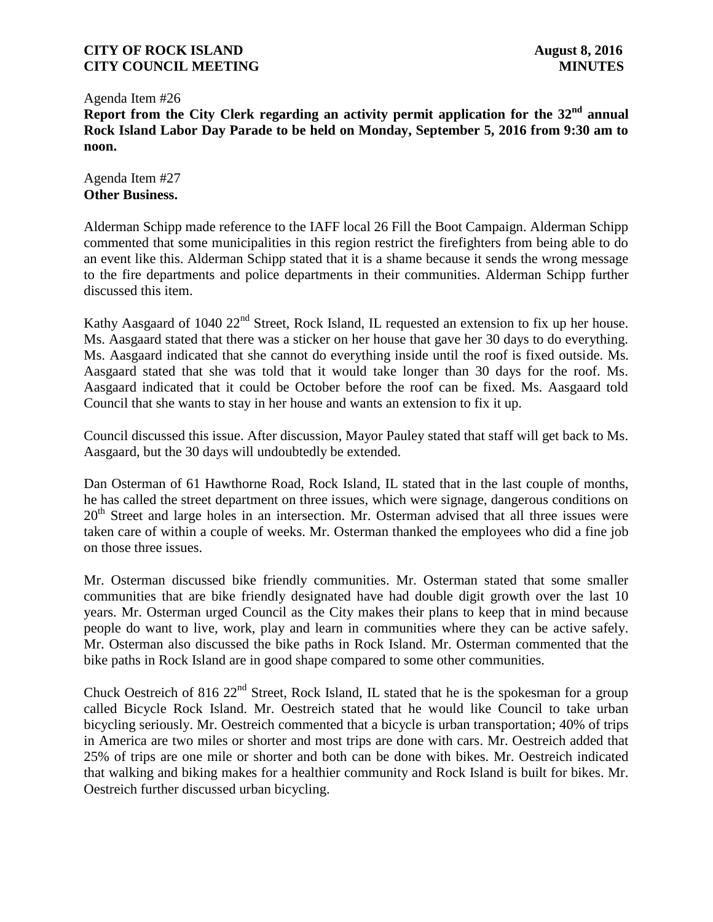Agenda Item #26

**Report from the City Clerk regarding an activity permit application for the 32nd annual Rock Island Labor Day Parade to be held on Monday, September 5, 2016 from 9:30 am to noon.** 

Agenda Item #27 **Other Business.**

Alderman Schipp made reference to the IAFF local 26 Fill the Boot Campaign. Alderman Schipp commented that some municipalities in this region restrict the firefighters from being able to do an event like this. Alderman Schipp stated that it is a shame because it sends the wrong message to the fire departments and police departments in their communities. Alderman Schipp further discussed this item.

Kathy Aasgaard of 1040 22<sup>nd</sup> Street, Rock Island, IL requested an extension to fix up her house. Ms. Aasgaard stated that there was a sticker on her house that gave her 30 days to do everything. Ms. Aasgaard indicated that she cannot do everything inside until the roof is fixed outside. Ms. Aasgaard stated that she was told that it would take longer than 30 days for the roof. Ms. Aasgaard indicated that it could be October before the roof can be fixed. Ms. Aasgaard told Council that she wants to stay in her house and wants an extension to fix it up.

Council discussed this issue. After discussion, Mayor Pauley stated that staff will get back to Ms. Aasgaard, but the 30 days will undoubtedly be extended.

Dan Osterman of 61 Hawthorne Road, Rock Island, IL stated that in the last couple of months, he has called the street department on three issues, which were signage, dangerous conditions on 20<sup>th</sup> Street and large holes in an intersection. Mr. Osterman advised that all three issues were taken care of within a couple of weeks. Mr. Osterman thanked the employees who did a fine job on those three issues.

Mr. Osterman discussed bike friendly communities. Mr. Osterman stated that some smaller communities that are bike friendly designated have had double digit growth over the last 10 years. Mr. Osterman urged Council as the City makes their plans to keep that in mind because people do want to live, work, play and learn in communities where they can be active safely. Mr. Osterman also discussed the bike paths in Rock Island. Mr. Osterman commented that the bike paths in Rock Island are in good shape compared to some other communities.

Chuck Oestreich of 816  $22<sup>nd</sup>$  Street, Rock Island, IL stated that he is the spokesman for a group called Bicycle Rock Island. Mr. Oestreich stated that he would like Council to take urban bicycling seriously. Mr. Oestreich commented that a bicycle is urban transportation; 40% of trips in America are two miles or shorter and most trips are done with cars. Mr. Oestreich added that 25% of trips are one mile or shorter and both can be done with bikes. Mr. Oestreich indicated that walking and biking makes for a healthier community and Rock Island is built for bikes. Mr. Oestreich further discussed urban bicycling.